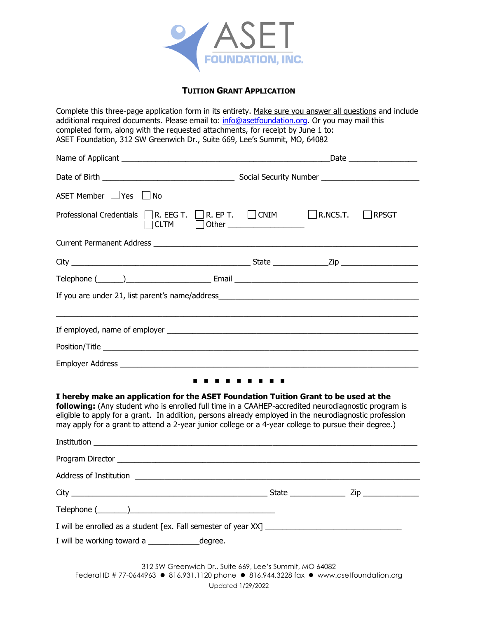

## **TUITION GRANT APPLICATION**

Complete this three-page application form in its entirety. Make sure you answer all questions and include additional required documents. Please email to: [info@asetfoundation.org.](mailto:info@asetfoundation.org) Or you may mail this completed form, along with the requested attachments, for receipt by June 1 to: ASET Foundation, 312 SW Greenwich Dr., Suite 669, Lee's Summit, MO, 64082

| ASET Member □ Yes □ No                                                                                                                                                                                                                                                                                                                                                                                        |   |  |  |  |  |
|---------------------------------------------------------------------------------------------------------------------------------------------------------------------------------------------------------------------------------------------------------------------------------------------------------------------------------------------------------------------------------------------------------------|---|--|--|--|--|
| Professional Credentials R. EEG T. R. EP T. CNIM R.NCS.T. RPSGT<br>$\Box$ CLTM $\Box$ Other $\_\_\_\_\_\_\_\_\_\_\_$                                                                                                                                                                                                                                                                                          |   |  |  |  |  |
| Current Permanent Address <b>Communication and Communication</b> Current Permanent Current Current Current Current Current Current Current Current Current Current Current Current Current Current Current Current Current Current                                                                                                                                                                            |   |  |  |  |  |
|                                                                                                                                                                                                                                                                                                                                                                                                               |   |  |  |  |  |
|                                                                                                                                                                                                                                                                                                                                                                                                               |   |  |  |  |  |
|                                                                                                                                                                                                                                                                                                                                                                                                               |   |  |  |  |  |
|                                                                                                                                                                                                                                                                                                                                                                                                               |   |  |  |  |  |
|                                                                                                                                                                                                                                                                                                                                                                                                               |   |  |  |  |  |
| Employer Address et al. 2003 and 2004 and 2006 and 2007 and 2008 and 2008 and 2008 and 2008 and 2008 and 2008                                                                                                                                                                                                                                                                                                 |   |  |  |  |  |
|                                                                                                                                                                                                                                                                                                                                                                                                               | . |  |  |  |  |
| I hereby make an application for the ASET Foundation Tuition Grant to be used at the<br>following: (Any student who is enrolled full time in a CAAHEP-accredited neurodiagnostic program is<br>eligible to apply for a grant. In addition, persons already employed in the neurodiagnostic profession<br>may apply for a grant to attend a 2-year junior college or a 4-year college to pursue their degree.) |   |  |  |  |  |
|                                                                                                                                                                                                                                                                                                                                                                                                               |   |  |  |  |  |
|                                                                                                                                                                                                                                                                                                                                                                                                               |   |  |  |  |  |
|                                                                                                                                                                                                                                                                                                                                                                                                               |   |  |  |  |  |
|                                                                                                                                                                                                                                                                                                                                                                                                               |   |  |  |  |  |
|                                                                                                                                                                                                                                                                                                                                                                                                               |   |  |  |  |  |
|                                                                                                                                                                                                                                                                                                                                                                                                               |   |  |  |  |  |
|                                                                                                                                                                                                                                                                                                                                                                                                               |   |  |  |  |  |
| 312 SW Greenwich Dr., Suite 669, Lee's Summit, MO 64082                                                                                                                                                                                                                                                                                                                                                       |   |  |  |  |  |
| Federal ID # 77-0644963 ● 816.931.1120 phone ● 816.944.3228 fax ● www.asetfoundation.org                                                                                                                                                                                                                                                                                                                      |   |  |  |  |  |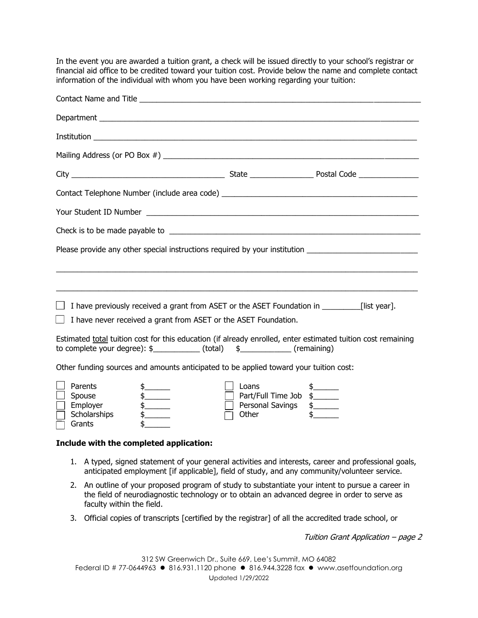In the event you are awarded a tuition grant, a check will be issued directly to your school's registrar or financial aid office to be credited toward your tuition cost. Provide below the name and complete contact information of the individual with whom you have been working regarding your tuition:

| Contact Telephone Number (include area code) ___________________________________                                                                                                          |                                |               |  |  |  |  |
|-------------------------------------------------------------------------------------------------------------------------------------------------------------------------------------------|--------------------------------|---------------|--|--|--|--|
|                                                                                                                                                                                           |                                |               |  |  |  |  |
|                                                                                                                                                                                           |                                |               |  |  |  |  |
| Please provide any other special instructions required by your institution _________________________                                                                                      |                                |               |  |  |  |  |
|                                                                                                                                                                                           |                                |               |  |  |  |  |
|                                                                                                                                                                                           |                                |               |  |  |  |  |
| I have previously received a grant from ASET or the ASET Foundation in _________[list year].                                                                                              |                                |               |  |  |  |  |
| I have never received a grant from ASET or the ASET Foundation.                                                                                                                           |                                |               |  |  |  |  |
| Estimated total tuition cost for this education (if already enrolled, enter estimated tuition cost remaining<br>to complete your degree): $\frac{2}{3}$ (total) $\frac{2}{3}$ (remaining) |                                |               |  |  |  |  |
| Other funding sources and amounts anticipated to be applied toward your tuition cost:                                                                                                     |                                |               |  |  |  |  |
| Parents<br>$\frac{1}{2}$<br>$\frac{1}{2}$<br>Spouse<br>$\frac{1}{2}$<br>Employer<br>$\frac{1}{2}$<br>Scholarships<br>Grants                                                               | Loans<br>Part/Full Time Job \$ | $\frac{1}{2}$ |  |  |  |  |
| Include with the completed application:                                                                                                                                                   |                                |               |  |  |  |  |
|                                                                                                                                                                                           |                                |               |  |  |  |  |

- 1. A typed, signed statement of your general activities and interests, career and professional goals, anticipated employment [if applicable], field of study, and any community/volunteer service.
- 2. An outline of your proposed program of study to substantiate your intent to pursue a career in the field of neurodiagnostic technology or to obtain an advanced degree in order to serve as faculty within the field.
- 3. Official copies of transcripts [certified by the registrar] of all the accredited trade school, or

Tuition Grant Application – page 2

312 SW Greenwich Dr., Suite 669, Lee's Summit, MO 64082 Federal ID # 77-0644963 ● 816.931.1120 phone ● 816.944.3228 fax ● www.asetfoundation.org updated 1/29/2022